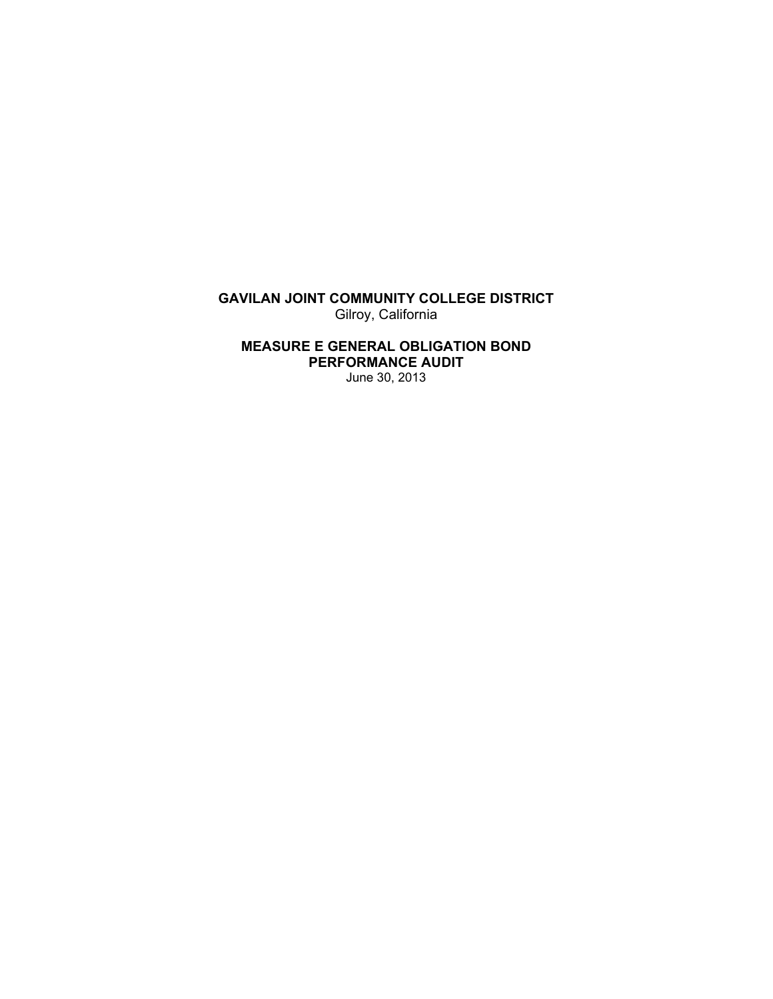**GAVILAN JOINT COMMUNITY COLLEGE DISTRICT**  Gilroy, California

**MEASURE E GENERAL OBLIGATION BOND PERFORMANCE AUDIT**  June 30, 2013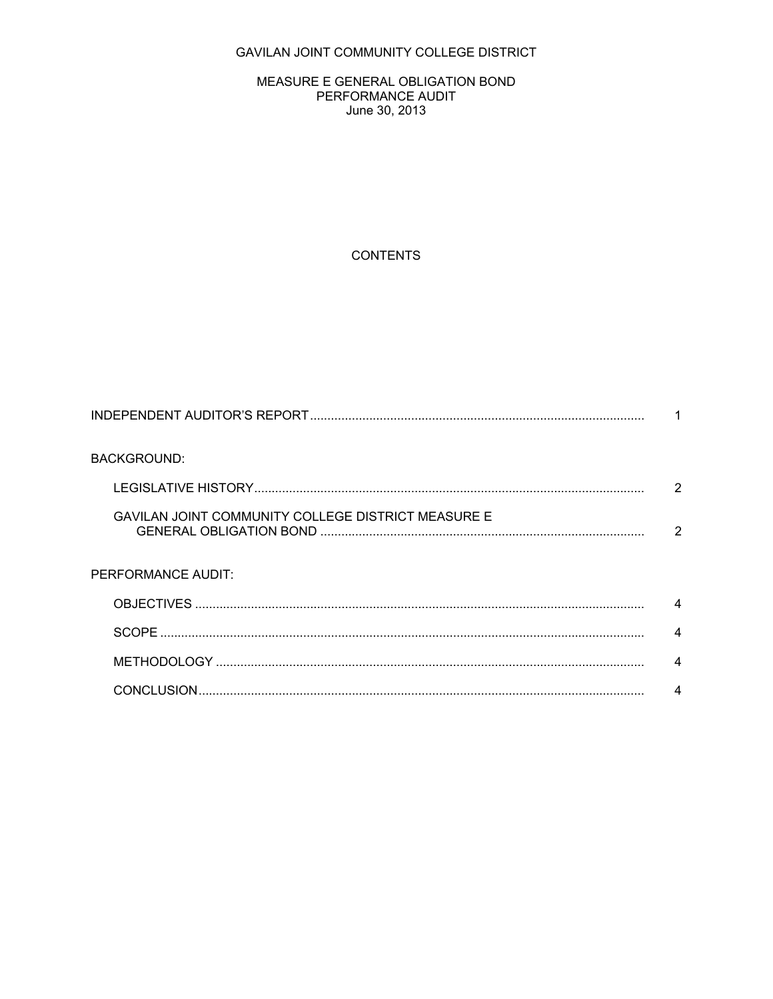# GAVILAN JOINT COMMUNITY COLLEGE DISTRICT

#### MEASURE E GENERAL OBLIGATION BOND PERFORMANCE AUDIT June 30, 2013

# **CONTENTS**

| <b>BACKGROUND:</b>                                 |   |
|----------------------------------------------------|---|
|                                                    | 2 |
| GAVILAN JOINT COMMUNITY COLLEGE DISTRICT MEASURE E | 2 |
| PERFORMANCE AUDIT:                                 |   |
|                                                    | 4 |
|                                                    | 4 |
|                                                    |   |
|                                                    |   |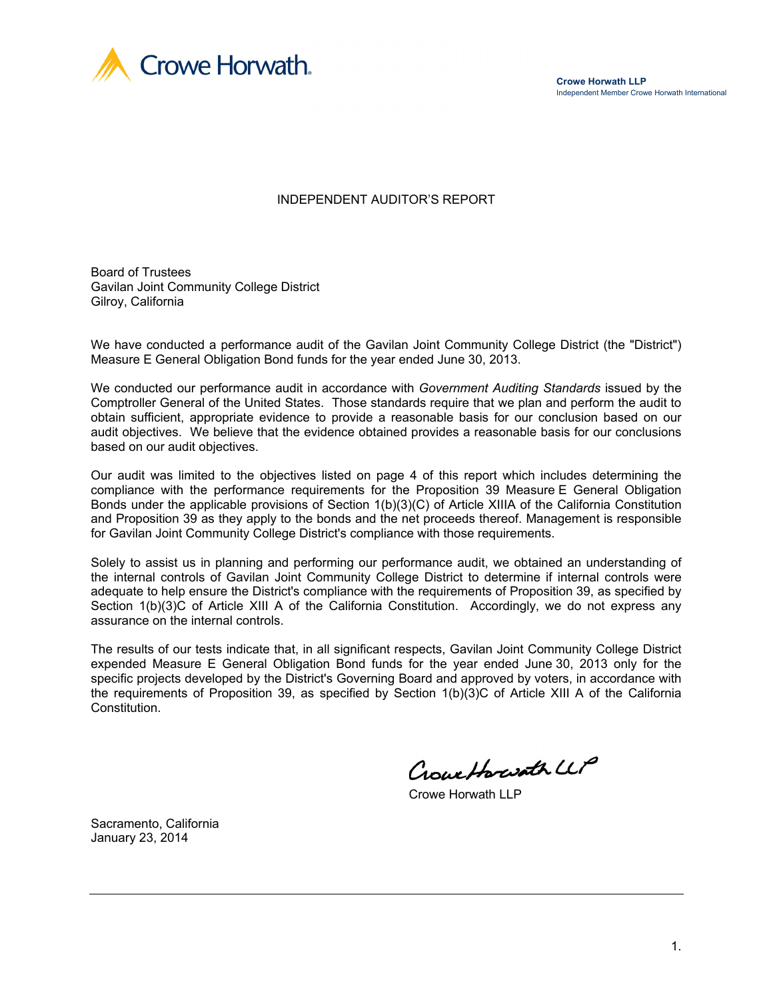

**Crowe Horwath LLP** Independent Member Crowe Horwath International

INDEPENDENT AUDITOR'S REPORT

Board of Trustees Gavilan Joint Community College District Gilroy, California

We have conducted a performance audit of the Gavilan Joint Community College District (the "District") Measure E General Obligation Bond funds for the year ended June 30, 2013.

We conducted our performance audit in accordance with *Government Auditing Standards* issued by the Comptroller General of the United States. Those standards require that we plan and perform the audit to obtain sufficient, appropriate evidence to provide a reasonable basis for our conclusion based on our audit objectives. We believe that the evidence obtained provides a reasonable basis for our conclusions based on our audit objectives.

Our audit was limited to the objectives listed on page 4 of this report which includes determining the compliance with the performance requirements for the Proposition 39 Measure E General Obligation Bonds under the applicable provisions of Section 1(b)(3)(C) of Article XIIIA of the California Constitution and Proposition 39 as they apply to the bonds and the net proceeds thereof. Management is responsible for Gavilan Joint Community College District's compliance with those requirements.

Solely to assist us in planning and performing our performance audit, we obtained an understanding of the internal controls of Gavilan Joint Community College District to determine if internal controls were adequate to help ensure the District's compliance with the requirements of Proposition 39, as specified by Section 1(b)(3)C of Article XIII A of the California Constitution. Accordingly, we do not express any assurance on the internal controls.

The results of our tests indicate that, in all significant respects, Gavilan Joint Community College District expended Measure E General Obligation Bond funds for the year ended June 30, 2013 only for the specific projects developed by the District's Governing Board and approved by voters, in accordance with the requirements of Proposition 39, as specified by Section 1(b)(3)C of Article XIII A of the California Constitution.

Crowethoristh LLP

Crowe Horwath LLP

Sacramento, California January 23, 2014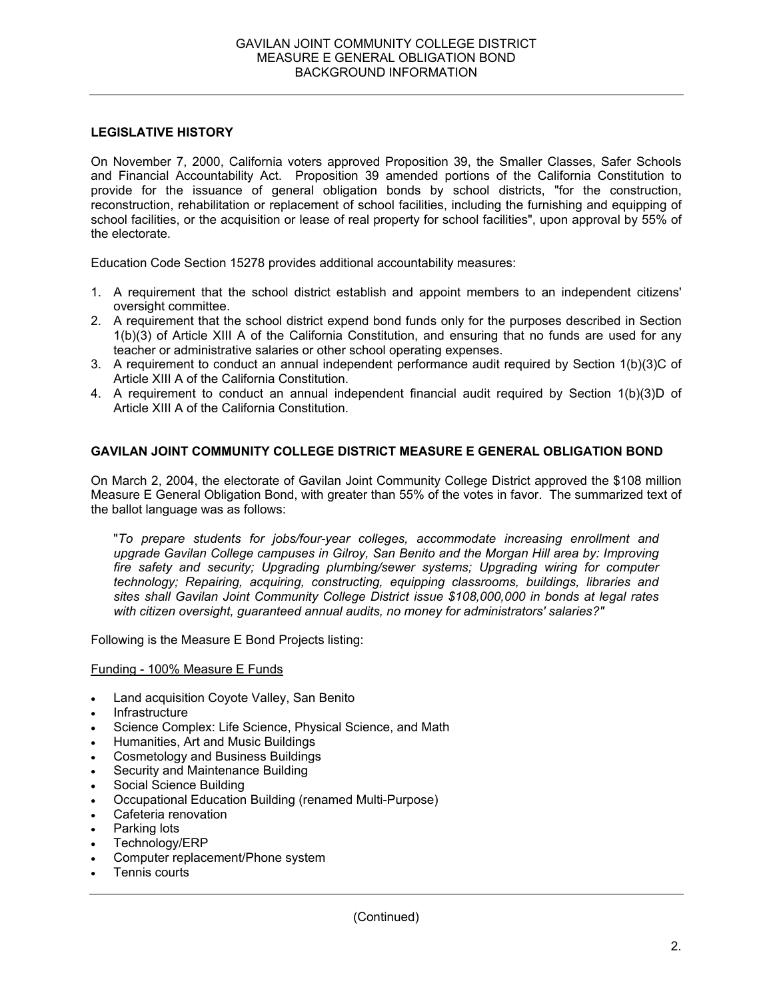#### **LEGISLATIVE HISTORY**

On November 7, 2000, California voters approved Proposition 39, the Smaller Classes, Safer Schools and Financial Accountability Act. Proposition 39 amended portions of the California Constitution to provide for the issuance of general obligation bonds by school districts, "for the construction, reconstruction, rehabilitation or replacement of school facilities, including the furnishing and equipping of school facilities, or the acquisition or lease of real property for school facilities", upon approval by 55% of the electorate.

Education Code Section 15278 provides additional accountability measures:

- 1. A requirement that the school district establish and appoint members to an independent citizens' oversight committee.
- 2. A requirement that the school district expend bond funds only for the purposes described in Section 1(b)(3) of Article XIII A of the California Constitution, and ensuring that no funds are used for any teacher or administrative salaries or other school operating expenses.
- 3. A requirement to conduct an annual independent performance audit required by Section 1(b)(3)C of Article XIII A of the California Constitution.
- 4. A requirement to conduct an annual independent financial audit required by Section 1(b)(3)D of Article XIII A of the California Constitution.

# **GAVILAN JOINT COMMUNITY COLLEGE DISTRICT MEASURE E GENERAL OBLIGATION BOND**

On March 2, 2004, the electorate of Gavilan Joint Community College District approved the \$108 million Measure E General Obligation Bond, with greater than 55% of the votes in favor. The summarized text of the ballot language was as follows:

"*To prepare students for jobs/four-year colleges, accommodate increasing enrollment and upgrade Gavilan College campuses in Gilroy, San Benito and the Morgan Hill area by: Improving*  fire safety and security; Upgrading plumbing/sewer systems; Upgrading wiring for computer *technology; Repairing, acquiring, constructing, equipping classrooms, buildings, libraries and sites shall Gavilan Joint Community College District issue \$108,000,000 in bonds at legal rates with citizen oversight, guaranteed annual audits, no money for administrators' salaries?"* 

Following is the Measure E Bond Projects listing:

#### Funding - 100% Measure E Funds

- Land acquisition Coyote Valley, San Benito
- **Infrastructure**
- Science Complex: Life Science, Physical Science, and Math
- Humanities, Art and Music Buildings
- Cosmetology and Business Buildings
- Security and Maintenance Building
- Social Science Building
- Occupational Education Building (renamed Multi-Purpose)
- Cafeteria renovation
- Parking lots
- Technology/ERP
- Computer replacement/Phone system
- Tennis courts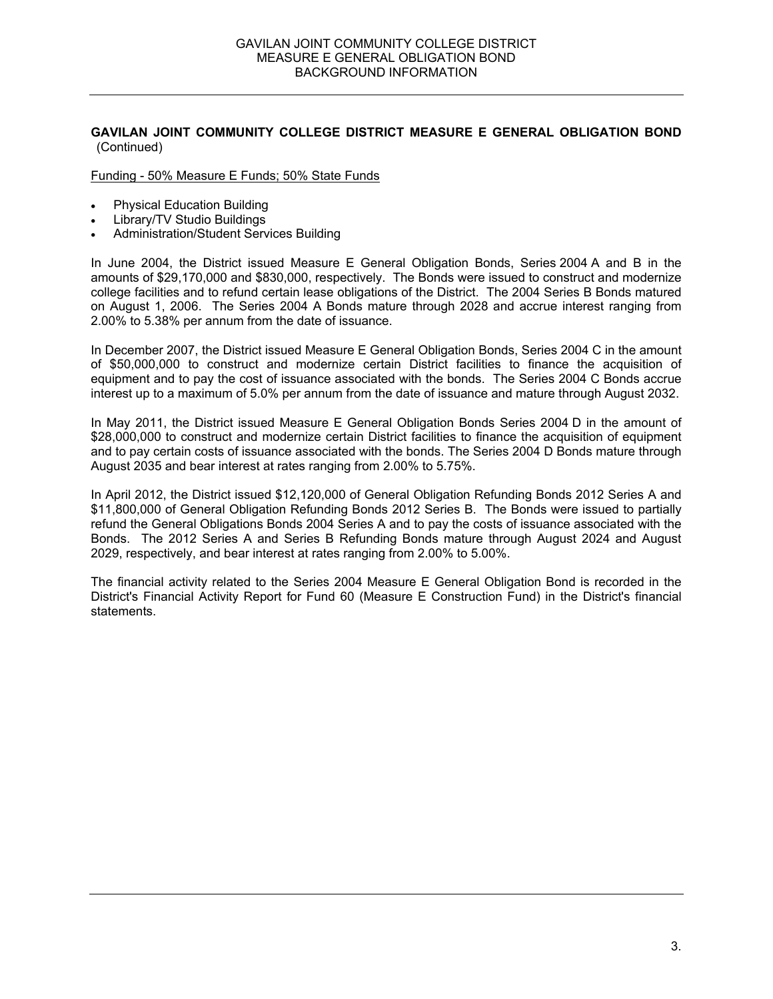#### **GAVILAN JOINT COMMUNITY COLLEGE DISTRICT MEASURE E GENERAL OBLIGATION BOND** (Continued)

Funding - 50% Measure E Funds; 50% State Funds

- Physical Education Building
- Library/TV Studio Buildings
- Administration/Student Services Building

In June 2004, the District issued Measure E General Obligation Bonds, Series 2004 A and B in the amounts of \$29,170,000 and \$830,000, respectively. The Bonds were issued to construct and modernize college facilities and to refund certain lease obligations of the District. The 2004 Series B Bonds matured on August 1, 2006. The Series 2004 A Bonds mature through 2028 and accrue interest ranging from 2.00% to 5.38% per annum from the date of issuance.

In December 2007, the District issued Measure E General Obligation Bonds, Series 2004 C in the amount of \$50,000,000 to construct and modernize certain District facilities to finance the acquisition of equipment and to pay the cost of issuance associated with the bonds. The Series 2004 C Bonds accrue interest up to a maximum of 5.0% per annum from the date of issuance and mature through August 2032.

In May 2011, the District issued Measure E General Obligation Bonds Series 2004 D in the amount of \$28,000,000 to construct and modernize certain District facilities to finance the acquisition of equipment and to pay certain costs of issuance associated with the bonds. The Series 2004 D Bonds mature through August 2035 and bear interest at rates ranging from 2.00% to 5.75%.

In April 2012, the District issued \$12,120,000 of General Obligation Refunding Bonds 2012 Series A and \$11,800,000 of General Obligation Refunding Bonds 2012 Series B. The Bonds were issued to partially refund the General Obligations Bonds 2004 Series A and to pay the costs of issuance associated with the Bonds. The 2012 Series A and Series B Refunding Bonds mature through August 2024 and August 2029, respectively, and bear interest at rates ranging from 2.00% to 5.00%.

The financial activity related to the Series 2004 Measure E General Obligation Bond is recorded in the District's Financial Activity Report for Fund 60 (Measure E Construction Fund) in the District's financial statements.